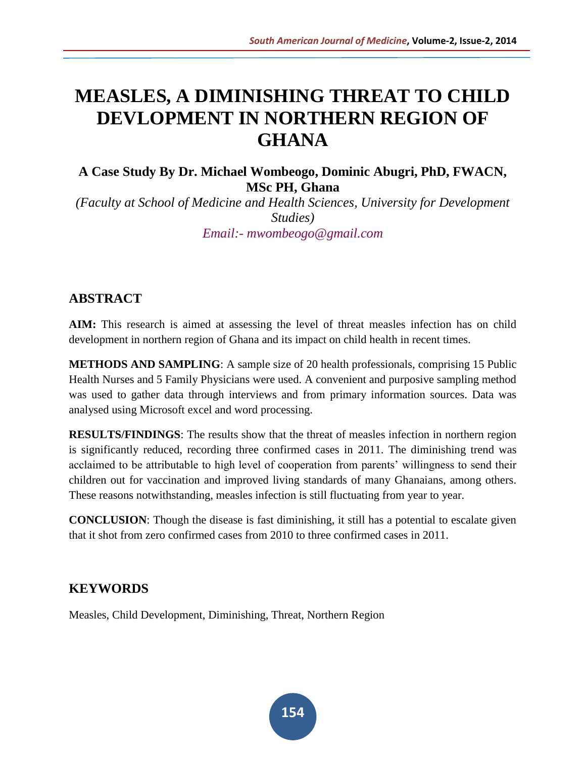# **MEASLES, A DIMINISHING THREAT TO CHILD DEVLOPMENT IN NORTHERN REGION OF GHANA**

# **A Case Study By Dr. Michael Wombeogo, Dominic Abugri, PhD, FWACN, MSc PH, Ghana**

*(Faculty at School of Medicine and Health Sciences, University for Development Studies) Email:- mwombeogo@gmail.com*

# **ABSTRACT**

**AIM:** This research is aimed at assessing the level of threat measles infection has on child development in northern region of Ghana and its impact on child health in recent times.

**METHODS AND SAMPLING**: A sample size of 20 health professionals, comprising 15 Public Health Nurses and 5 Family Physicians were used. A convenient and purposive sampling method was used to gather data through interviews and from primary information sources. Data was analysed using Microsoft excel and word processing.

**RESULTS/FINDINGS**: The results show that the threat of measles infection in northern region is significantly reduced, recording three confirmed cases in 2011. The diminishing trend was acclaimed to be attributable to high level of cooperation from parents' willingness to send their children out for vaccination and improved living standards of many Ghanaians, among others. These reasons notwithstanding, measles infection is still fluctuating from year to year.

**CONCLUSION**: Though the disease is fast diminishing, it still has a potential to escalate given that it shot from zero confirmed cases from 2010 to three confirmed cases in 2011.

# **KEYWORDS**

Measles, Child Development, Diminishing, Threat, Northern Region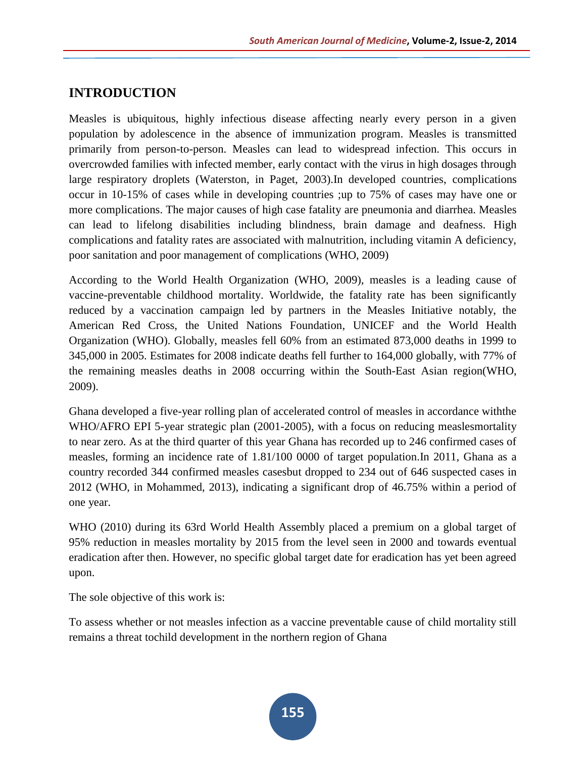# **INTRODUCTION**

Measles is ubiquitous, highly infectious disease affecting nearly every person in a given population by adolescence in the absence of immunization program. Measles is transmitted primarily from person-to-person. Measles can lead to widespread infection. This occurs in overcrowded families with infected member, early contact with the virus in high dosages through large respiratory droplets (Waterston, in Paget, 2003).In developed countries, complications occur in 10-15% of cases while in developing countries ;up to 75% of cases may have one or more complications. The major causes of high case fatality are pneumonia and diarrhea. Measles can lead to lifelong disabilities including blindness, brain damage and deafness. High complications and fatality rates are associated with malnutrition, including vitamin A deficiency, poor sanitation and poor management of complications (WHO, 2009)

According to the World Health Organization (WHO, 2009), measles is a leading cause of vaccine-preventable childhood mortality. Worldwide, the fatality rate has been significantly reduced by a vaccination campaign led by partners in the Measles Initiative notably, the American Red Cross, the United Nations Foundation, UNICEF and the World Health Organization (WHO). Globally, measles fell 60% from an estimated 873,000 deaths in 1999 to 345,000 in 2005. Estimates for 2008 indicate deaths fell further to 164,000 globally, with 77% of the remaining measles deaths in 2008 occurring within the South-East Asian region(WHO, 2009).

Ghana developed a five-year rolling plan of accelerated control of measles in accordance withthe WHO/AFRO EPI 5-year strategic plan (2001-2005), with a focus on reducing measlesmortality to near zero. As at the third quarter of this year Ghana has recorded up to 246 confirmed cases of measles, forming an incidence rate of 1.81/100 0000 of target population.In 2011, Ghana as a country recorded 344 confirmed measles casesbut dropped to 234 out of 646 suspected cases in 2012 (WHO, in Mohammed, 2013), indicating a significant drop of 46.75% within a period of one year.

WHO (2010) during its 63rd World Health Assembly placed a premium on a global target of 95% reduction in measles mortality by 2015 from the level seen in 2000 and towards eventual eradication after then. However, no specific global target date for eradication has yet been agreed upon.

The sole objective of this work is:

To assess whether or not measles infection as a vaccine preventable cause of child mortality still remains a threat tochild development in the northern region of Ghana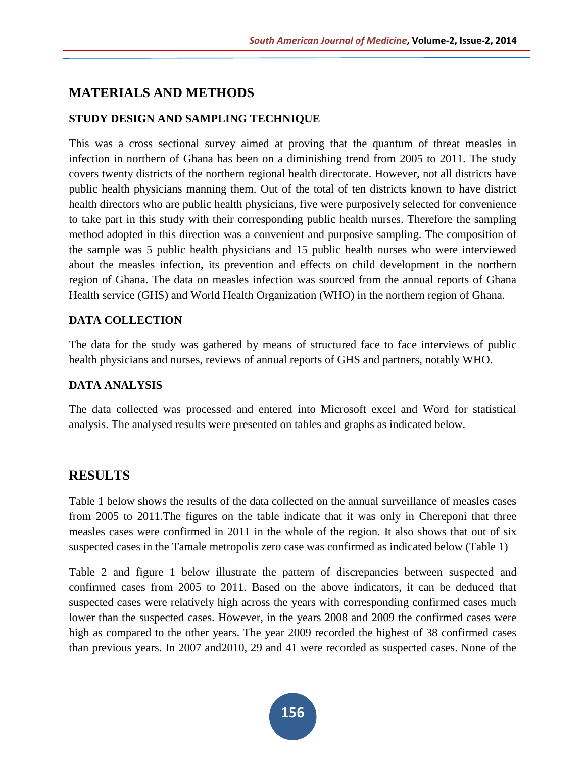#### **MATERIALS AND METHODS**

#### **STUDY DESIGN AND SAMPLING TECHNIQUE**

This was a cross sectional survey aimed at proving that the quantum of threat measles in infection in northern of Ghana has been on a diminishing trend from 2005 to 2011. The study covers twenty districts of the northern regional health directorate. However, not all districts have public health physicians manning them. Out of the total of ten districts known to have district health directors who are public health physicians, five were purposively selected for convenience to take part in this study with their corresponding public health nurses. Therefore the sampling method adopted in this direction was a convenient and purposive sampling. The composition of the sample was 5 public health physicians and 15 public health nurses who were interviewed about the measles infection, its prevention and effects on child development in the northern region of Ghana. The data on measles infection was sourced from the annual reports of Ghana Health service (GHS) and World Health Organization (WHO) in the northern region of Ghana.

#### **DATA COLLECTION**

The data for the study was gathered by means of structured face to face interviews of public health physicians and nurses, reviews of annual reports of GHS and partners, notably WHO.

#### **DATA ANALYSIS**

The data collected was processed and entered into Microsoft excel and Word for statistical analysis. The analysed results were presented on tables and graphs as indicated below.

#### **RESULTS**

Table 1 below shows the results of the data collected on the annual surveillance of measles cases from 2005 to 2011.The figures on the table indicate that it was only in Chereponi that three measles cases were confirmed in 2011 in the whole of the region. It also shows that out of six suspected cases in the Tamale metropolis zero case was confirmed as indicated below (Table 1)

Table 2 and figure 1 below illustrate the pattern of discrepancies between suspected and confirmed cases from 2005 to 2011. Based on the above indicators, it can be deduced that suspected cases were relatively high across the years with corresponding confirmed cases much lower than the suspected cases. However, in the years 2008 and 2009 the confirmed cases were high as compared to the other years. The year 2009 recorded the highest of 38 confirmed cases than previous years. In 2007 and2010, 29 and 41 were recorded as suspected cases. None of the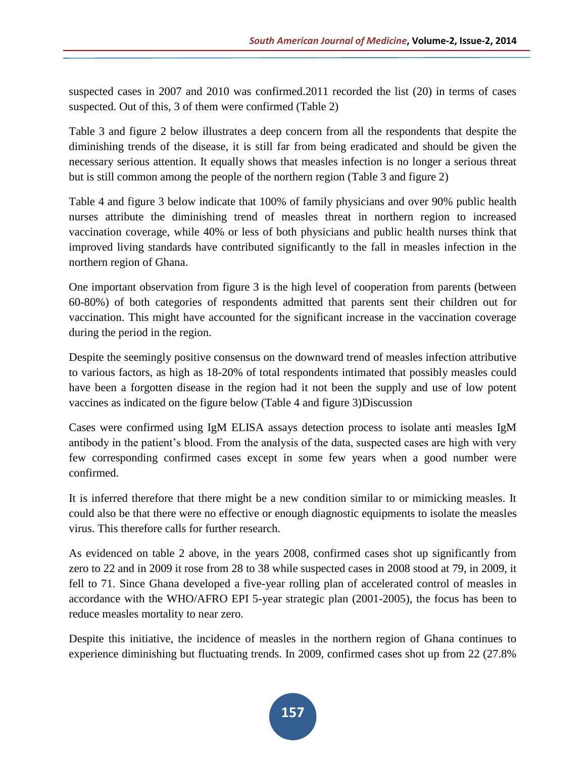suspected cases in 2007 and 2010 was confirmed.2011 recorded the list (20) in terms of cases suspected. Out of this, 3 of them were confirmed (Table 2)

Table 3 and figure 2 below illustrates a deep concern from all the respondents that despite the diminishing trends of the disease, it is still far from being eradicated and should be given the necessary serious attention. It equally shows that measles infection is no longer a serious threat but is still common among the people of the northern region (Table 3 and figure 2)

Table 4 and figure 3 below indicate that 100% of family physicians and over 90% public health nurses attribute the diminishing trend of measles threat in northern region to increased vaccination coverage, while 40% or less of both physicians and public health nurses think that improved living standards have contributed significantly to the fall in measles infection in the northern region of Ghana.

One important observation from figure 3 is the high level of cooperation from parents (between 60-80%) of both categories of respondents admitted that parents sent their children out for vaccination. This might have accounted for the significant increase in the vaccination coverage during the period in the region.

Despite the seemingly positive consensus on the downward trend of measles infection attributive to various factors, as high as 18-20% of total respondents intimated that possibly measles could have been a forgotten disease in the region had it not been the supply and use of low potent vaccines as indicated on the figure below (Table 4 and figure 3)Discussion

Cases were confirmed using IgM ELISA assays detection process to isolate anti measles IgM antibody in the patient's blood. From the analysis of the data, suspected cases are high with very few corresponding confirmed cases except in some few years when a good number were confirmed.

It is inferred therefore that there might be a new condition similar to or mimicking measles. It could also be that there were no effective or enough diagnostic equipments to isolate the measles virus. This therefore calls for further research.

As evidenced on table 2 above, in the years 2008, confirmed cases shot up significantly from zero to 22 and in 2009 it rose from 28 to 38 while suspected cases in 2008 stood at 79, in 2009, it fell to 71. Since Ghana developed a five-year rolling plan of accelerated control of measles in accordance with the WHO/AFRO EPI 5-year strategic plan (2001-2005), the focus has been to reduce measles mortality to near zero.

Despite this initiative, the incidence of measles in the northern region of Ghana continues to experience diminishing but fluctuating trends. In 2009, confirmed cases shot up from 22 (27.8%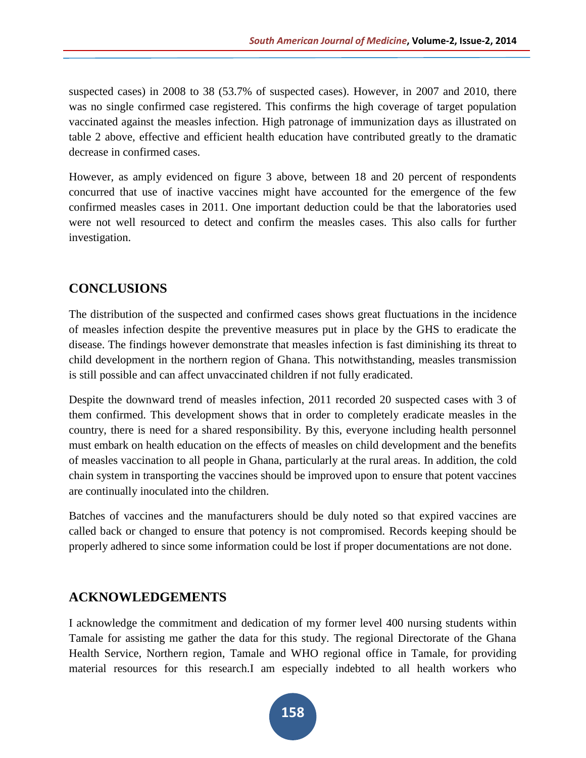suspected cases) in 2008 to 38 (53.7% of suspected cases). However, in 2007 and 2010, there was no single confirmed case registered. This confirms the high coverage of target population vaccinated against the measles infection. High patronage of immunization days as illustrated on table 2 above, effective and efficient health education have contributed greatly to the dramatic decrease in confirmed cases.

However, as amply evidenced on figure 3 above, between 18 and 20 percent of respondents concurred that use of inactive vaccines might have accounted for the emergence of the few confirmed measles cases in 2011. One important deduction could be that the laboratories used were not well resourced to detect and confirm the measles cases. This also calls for further investigation.

# **CONCLUSIONS**

The distribution of the suspected and confirmed cases shows great fluctuations in the incidence of measles infection despite the preventive measures put in place by the GHS to eradicate the disease. The findings however demonstrate that measles infection is fast diminishing its threat to child development in the northern region of Ghana. This notwithstanding, measles transmission is still possible and can affect unvaccinated children if not fully eradicated.

Despite the downward trend of measles infection, 2011 recorded 20 suspected cases with 3 of them confirmed. This development shows that in order to completely eradicate measles in the country, there is need for a shared responsibility. By this, everyone including health personnel must embark on health education on the effects of measles on child development and the benefits of measles vaccination to all people in Ghana, particularly at the rural areas. In addition, the cold chain system in transporting the vaccines should be improved upon to ensure that potent vaccines are continually inoculated into the children.

Batches of vaccines and the manufacturers should be duly noted so that expired vaccines are called back or changed to ensure that potency is not compromised. Records keeping should be properly adhered to since some information could be lost if proper documentations are not done.

# **ACKNOWLEDGEMENTS**

I acknowledge the commitment and dedication of my former level 400 nursing students within Tamale for assisting me gather the data for this study. The regional Directorate of the Ghana Health Service, Northern region, Tamale and WHO regional office in Tamale, for providing material resources for this research.I am especially indebted to all health workers who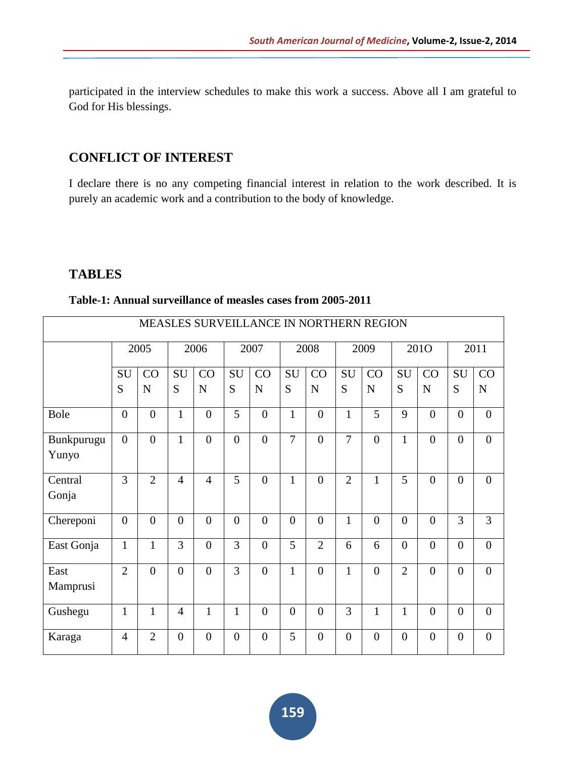participated in the interview schedules to make this work a success. Above all I am grateful to God for His blessings.

# **CONFLICT OF INTEREST**

I declare there is no any competing financial interest in relation to the work described. It is purely an academic work and a contribution to the body of knowledge.

### **TABLES**

|  |  |  |  | Table-1: Annual surveillance of measles cases from 2005-2011 |  |  |  |  |  |  |
|--|--|--|--|--------------------------------------------------------------|--|--|--|--|--|--|
|--|--|--|--|--------------------------------------------------------------|--|--|--|--|--|--|

| MEASLES SURVEILLANCE IN NORTHERN REGION |                |                |                |                |                |                |                  |                  |                |                |                |                |                |                  |
|-----------------------------------------|----------------|----------------|----------------|----------------|----------------|----------------|------------------|------------------|----------------|----------------|----------------|----------------|----------------|------------------|
|                                         |                | 2005           |                | 2006           |                | 2007           |                  | 2008             |                | 2009           |                | 201O           |                | 2011             |
|                                         | <b>SU</b>      | CO             | SU             | CO             | SU             | CO             | SU               | CO               | SU             | CO             | SU             | CO             | SU             | CO               |
|                                         | S              | $\mathbf N$    | S              | $\mathbf N$    | S              | N              | S                | $\mathbf N$      | S              | $\mathbf N$    | S              | N              | S              | ${\bf N}$        |
| <b>Bole</b>                             | $\overline{0}$ | $\overline{0}$ | $\mathbf{1}$   | $\overline{0}$ | 5              | $\overline{0}$ | $\mathbf{1}$     | $\overline{0}$   | $\mathbf{1}$   | 5              | 9              | $\theta$       | $\overline{0}$ | $\boldsymbol{0}$ |
| Bunkpurugu<br>Yunyo                     | $\Omega$       | $\overline{0}$ | $\mathbf{1}$   | $\theta$       | $\theta$       | $\overline{0}$ | $\overline{7}$   | $\theta$         | $\overline{7}$ | $\overline{0}$ | $\mathbf{1}$   | $\theta$       | $\theta$       | $\overline{0}$   |
| Central<br>Gonja                        | 3              | $\overline{2}$ | $\overline{4}$ | $\overline{4}$ | 5              | $\overline{0}$ | $\mathbf{1}$     | $\theta$         | $\overline{2}$ | $\mathbf 1$    | 5              | $\theta$       | $\overline{0}$ | $\boldsymbol{0}$ |
| Chereponi                               | $\overline{0}$ | $\overline{0}$ | $\mathbf{0}$   | $\overline{0}$ | $\overline{0}$ | $\overline{0}$ | $\overline{0}$   | $\overline{0}$   | $\mathbf{1}$   | $\overline{0}$ | $\theta$       | $\theta$       | 3              | 3                |
| East Gonja                              | $\mathbf{1}$   | 1              | 3              | $\theta$       | 3              | $\overline{0}$ | 5                | $\overline{2}$   | 6              | 6              | $\overline{0}$ | $\theta$       | $\overline{0}$ | $\overline{0}$   |
| East<br>Mamprusi                        | $\overline{2}$ | $\overline{0}$ | $\overline{0}$ | $\theta$       | 3              | $\overline{0}$ | $\mathbf{1}$     | $\theta$         | $\mathbf{1}$   | $\overline{0}$ | $\overline{2}$ | $\theta$       | $\theta$       | $\overline{0}$   |
| Gushegu                                 | $\mathbf{1}$   | $\mathbf{1}$   | $\overline{4}$ | $\mathbf{1}$   | $\mathbf{1}$   | $\overline{0}$ | $\boldsymbol{0}$ | $\boldsymbol{0}$ | 3              | $\mathbf{1}$   | $\mathbf{1}$   | $\overline{0}$ | $\overline{0}$ | $\boldsymbol{0}$ |
| Karaga                                  | $\overline{4}$ | $\overline{2}$ | $\overline{0}$ | $\theta$       | $\overline{0}$ | $\overline{0}$ | 5                | $\theta$         | $\overline{0}$ | $\overline{0}$ | $\theta$       | $\theta$       | $\overline{0}$ | $\overline{0}$   |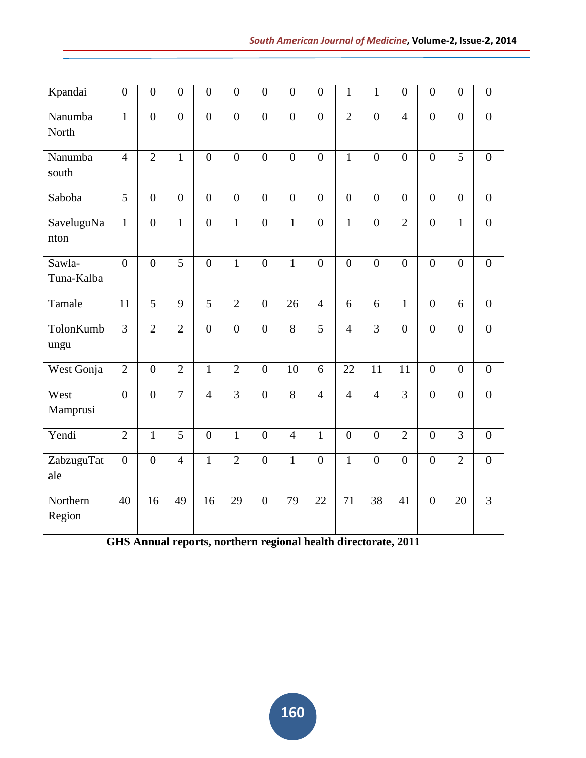| Kpandai              | $\boldsymbol{0}$ | $\overline{0}$   | $\boldsymbol{0}$ | $\overline{0}$ | $\overline{0}$ | $\boldsymbol{0}$ | $\boldsymbol{0}$ | $\boldsymbol{0}$ | $\mathbf{1}$    | $\mathbf{1}$    | $\boldsymbol{0}$ | $\overline{0}$ | $\overline{0}$ | $\boldsymbol{0}$ |
|----------------------|------------------|------------------|------------------|----------------|----------------|------------------|------------------|------------------|-----------------|-----------------|------------------|----------------|----------------|------------------|
| Nanumba<br>North     | $\overline{1}$   | $\overline{0}$   | $\overline{0}$   | $\overline{0}$ | $\overline{0}$ | $\overline{0}$   | $\overline{0}$   | $\overline{0}$   | $\overline{2}$  | $\overline{0}$  | $\overline{4}$   | $\overline{0}$ | $\overline{0}$ | $\overline{0}$   |
| Nanumba<br>south     | $\overline{4}$   | $\overline{2}$   | $\mathbf{1}$     | $\overline{0}$ | $\overline{0}$ | $\overline{0}$   | $\boldsymbol{0}$ | $\overline{0}$   | $\mathbf{1}$    | $\overline{0}$  | $\overline{0}$   | $\overline{0}$ | $\overline{5}$ | $\boldsymbol{0}$ |
| Saboba               | $\overline{5}$   | $\overline{0}$   | $\overline{0}$   | $\overline{0}$ | $\overline{0}$ | $\overline{0}$   | $\overline{0}$   | $\overline{0}$   | $\overline{0}$  | $\overline{0}$  | $\overline{0}$   | $\overline{0}$ | $\overline{0}$ | $\overline{0}$   |
| SaveluguNa<br>nton   | $\mathbf{1}$     | $\overline{0}$   | $\overline{1}$   | $\overline{0}$ | $\mathbf{1}$   | $\overline{0}$   | $\mathbf{1}$     | $\overline{0}$   | $\mathbf{1}$    | $\overline{0}$  | $\overline{2}$   | $\overline{0}$ | $\mathbf{1}$   | $\overline{0}$   |
| Sawla-<br>Tuna-Kalba | $\overline{0}$   | $\overline{0}$   | $\overline{5}$   | $\overline{0}$ | $\mathbf{1}$   | $\overline{0}$   | $\mathbf{1}$     | $\overline{0}$   | $\overline{0}$  | $\overline{0}$  | $\overline{0}$   | $\overline{0}$ | $\overline{0}$ | $\boldsymbol{0}$ |
| Tamale               | 11               | $\overline{5}$   | $\overline{9}$   | $\overline{5}$ | $\overline{2}$ | $\overline{0}$   | 26               | $\overline{4}$   | 6               | 6               | $\mathbf{1}$     | $\overline{0}$ | 6              | $\overline{0}$   |
| TolonKumb<br>ungu    | $\overline{3}$   | $\overline{2}$   | $\overline{2}$   | $\overline{0}$ | $\overline{0}$ | $\overline{0}$   | $\overline{8}$   | $\overline{5}$   | $\overline{4}$  | $\overline{3}$  | $\overline{0}$   | $\overline{0}$ | $\overline{0}$ | $\overline{0}$   |
| West Gonja           | $\overline{2}$   | $\boldsymbol{0}$ | $\overline{2}$   | $\mathbf{1}$   | $\overline{2}$ | $\boldsymbol{0}$ | 10               | 6                | $\overline{22}$ | $\overline{11}$ | 11               | $\overline{0}$ | $\overline{0}$ | $\boldsymbol{0}$ |
| West<br>Mamprusi     | $\overline{0}$   | $\overline{0}$   | $\overline{7}$   | $\overline{4}$ | $\overline{3}$ | $\overline{0}$   | $\overline{8}$   | $\overline{4}$   | $\overline{4}$  | $\overline{4}$  | $\overline{3}$   | $\overline{0}$ | $\overline{0}$ | $\overline{0}$   |
| Yendi                | $\overline{2}$   | $\mathbf{1}$     | 5                | $\overline{0}$ | $\mathbf{1}$   | $\overline{0}$   | $\overline{4}$   | $\mathbf{1}$     | $\overline{0}$  | $\mathbf{0}$    | $\overline{2}$   | $\overline{0}$ | 3              | $\mathbf{0}$     |
| ZabzuguTat<br>ale    | $\overline{0}$   | $\overline{0}$   | $\overline{4}$   | $\mathbf{1}$   | $\overline{2}$ | $\overline{0}$   | $\mathbf{1}$     | $\overline{0}$   | $\overline{1}$  | $\overline{0}$  | $\overline{0}$   | $\theta$       | $\overline{2}$ | $\overline{0}$   |
| Northern<br>Region   | 40               | 16               | 49               | 16             | 29             | $\boldsymbol{0}$ | 79               | 22               | 71              | 38              | 41               | $\overline{0}$ | 20             | 3                |

**GHS Annual reports, northern regional health directorate, 2011**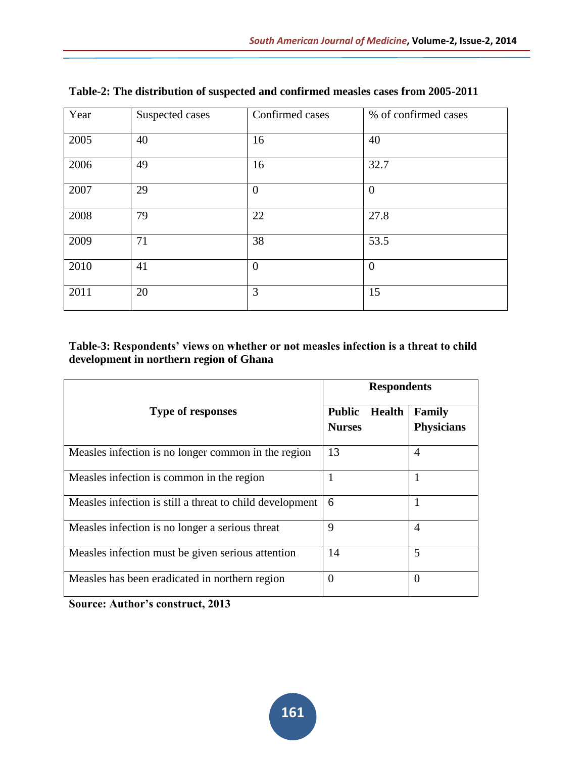| Year | Suspected cases | Confirmed cases | % of confirmed cases |
|------|-----------------|-----------------|----------------------|
| 2005 | 40              | 16              | 40                   |
| 2006 | 49              | 16              | 32.7                 |
| 2007 | 29              | $\theta$        | $\mathbf{0}$         |
| 2008 | 79              | 22              | 27.8                 |
| 2009 | 71              | 38              | 53.5                 |
| 2010 | 41              | $\overline{0}$  | $\mathbf{0}$         |
| 2011 | 20              | 3               | 15                   |

**Table-2: The distribution of suspected and confirmed measles cases from 2005-2011**

#### **Table-3: Respondents' views on whether or not measles infection is a threat to child development in northern region of Ghana**

|                                                          | <b>Respondents</b>                       |                                    |  |  |  |  |  |
|----------------------------------------------------------|------------------------------------------|------------------------------------|--|--|--|--|--|
| <b>Type of responses</b>                                 | <b>Public</b><br>Health<br><b>Nurses</b> | <b>Family</b><br><b>Physicians</b> |  |  |  |  |  |
| Measles infection is no longer common in the region      | 13                                       | $\overline{A}$                     |  |  |  |  |  |
| Measles infection is common in the region                | 1                                        | 1                                  |  |  |  |  |  |
| Measles infection is still a threat to child development | 6                                        | 1                                  |  |  |  |  |  |
| Measles infection is no longer a serious threat          | 9                                        | $\overline{A}$                     |  |  |  |  |  |
| Measles infection must be given serious attention        | 14                                       | 5                                  |  |  |  |  |  |
| Measles has been eradicated in northern region           | $\overline{0}$                           | $\Omega$                           |  |  |  |  |  |

**Source: Author's construct, 2013**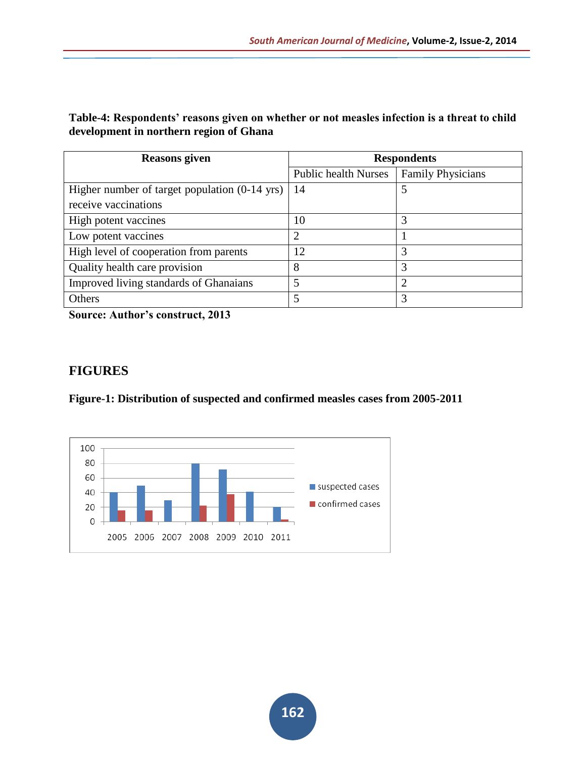#### **Table-4: Respondents' reasons given on whether or not measles infection is a threat to child development in northern region of Ghana**

| <b>Reasons given</b>                          | <b>Respondents</b>          |                          |  |  |  |
|-----------------------------------------------|-----------------------------|--------------------------|--|--|--|
|                                               | <b>Public health Nurses</b> | <b>Family Physicians</b> |  |  |  |
| Higher number of target population (0-14 yrs) | 14                          | 5                        |  |  |  |
| receive vaccinations                          |                             |                          |  |  |  |
| High potent vaccines                          | 10                          | 3                        |  |  |  |
| Low potent vaccines                           | ∍                           |                          |  |  |  |
| High level of cooperation from parents        | 12                          | 3                        |  |  |  |
| Quality health care provision                 | 8                           | 3                        |  |  |  |
| Improved living standards of Ghanaians        |                             | ◠                        |  |  |  |
| Others                                        |                             | 3                        |  |  |  |

**Source: Author's construct, 2013**

### **FIGURES**

**Figure-1: Distribution of suspected and confirmed measles cases from 2005-2011**

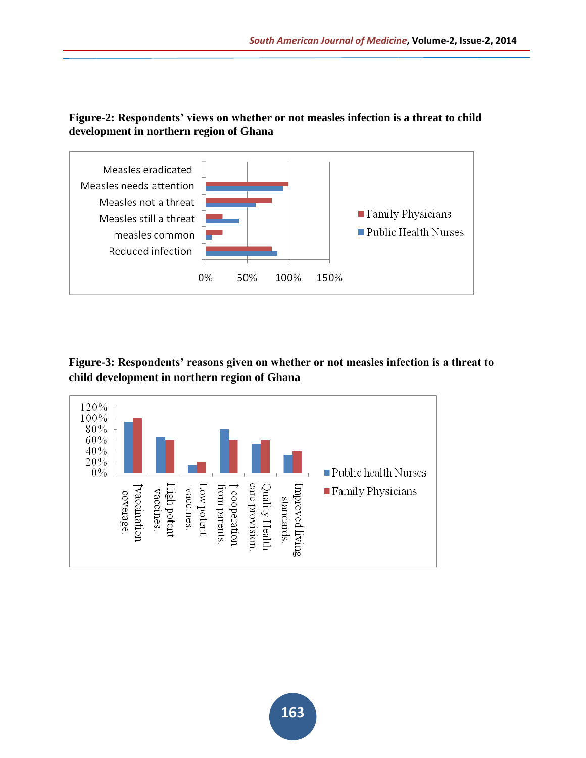#### **Figure-2: Respondents' views on whether or not measles infection is a threat to child development in northern region of Ghana**



#### **Figure-3: Respondents' reasons given on whether or not measles infection is a threat to child development in northern region of Ghana**